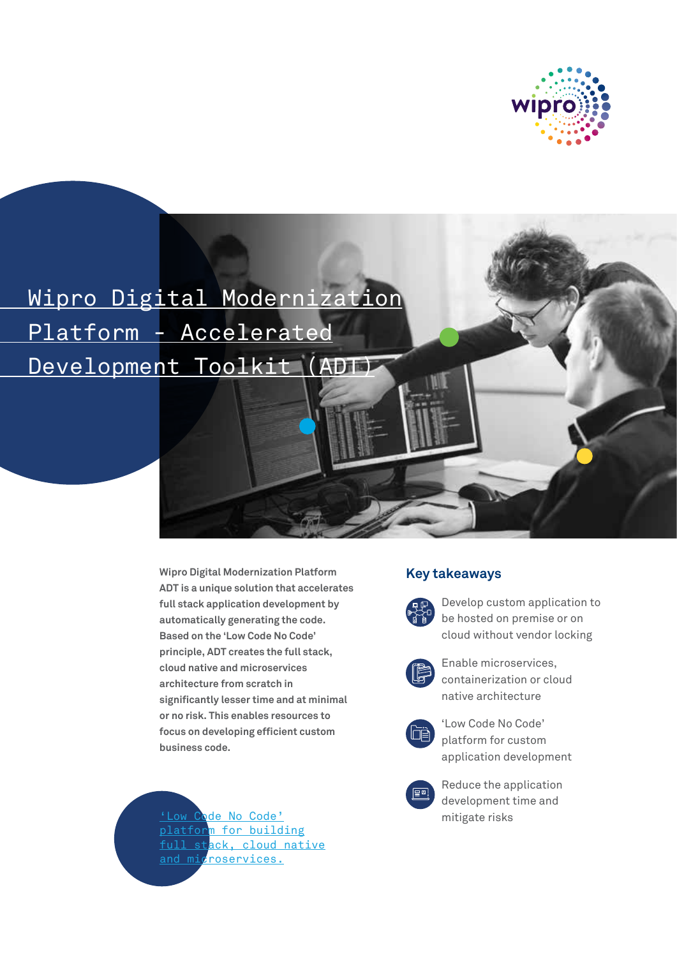

 Wipro Digital Modernization Platform - Accelerated Development Toolkit (ADT)

> **Wipro Digital Modernization Platform ADT is a unique solution that accelerates full stack application development by automatically generating the code. Based on the 'Low Code No Code' principle, ADT creates the full stack, cloud native and microservices architecture from scratch in significantly lesser time and at minimal or no risk. This enables resources to focus on developing efficient custom business code.**

**'Low Code No Code'** mitigate risks platform for building full stack, cloud native and microservices.

# **Key takeaways**



Develop custom application to be hosted on premise or on cloud without vendor locking



Enable microservices, containerization or cloud native architecture



Low Code No Code' platform for custom application development



Reduce the application development time and